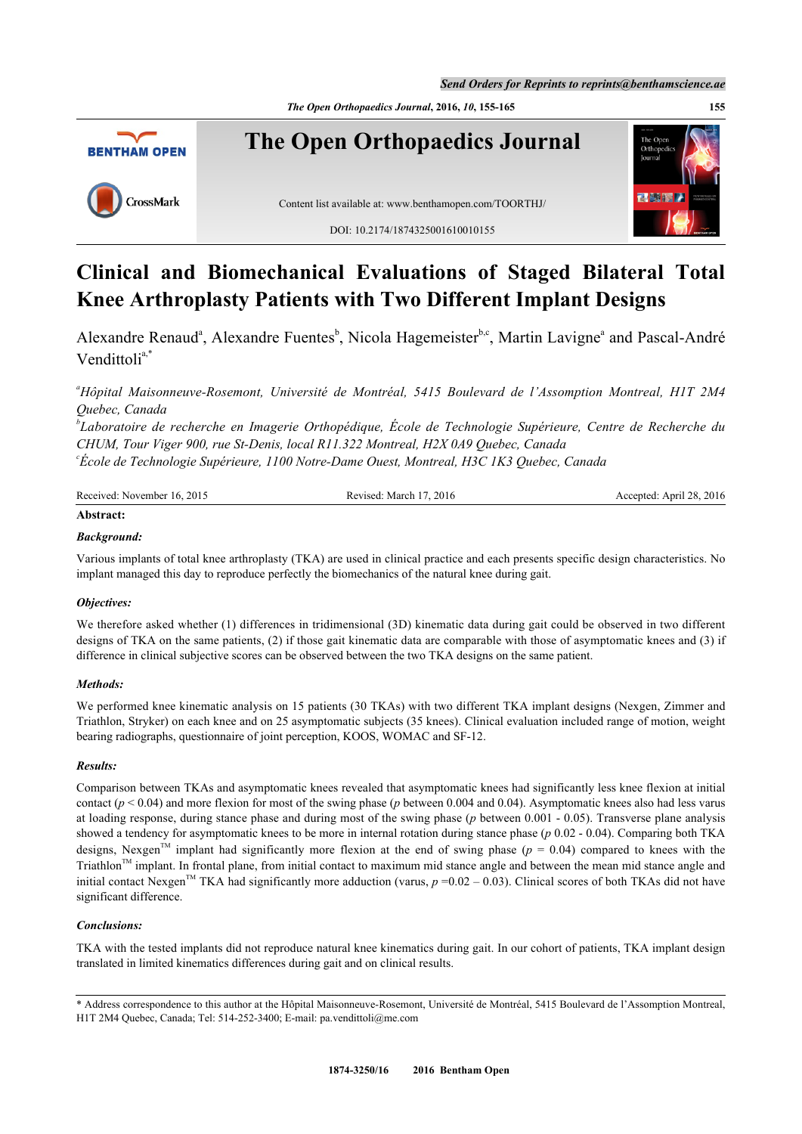*Send Orders for Reprints to reprints@benthamscience.ae*

*The Open Orthopaedics Journal***, 2016,** *10***, 155-165 155**



# **Clinical and Biomechanical Evaluations of Staged Bilateral Total Knee Arthroplasty Patients with Two Different Implant Designs**

Alex[a](#page-0-0)ndre Renaud<sup>a</sup>, Alexandre Fuentes<sup>[b](#page-0-1)</sup>, Nicola Hagemeister<sup>[b,](#page-0-1)[c](#page-0-2)</sup>, Martin Lavigne<sup>a</sup> and Pascal-André Vendittoli<sup>[a](#page-0-0),[\\*](#page-0-3)</sup>

<span id="page-0-0"></span>*<sup>a</sup>Hôpital Maisonneuve-Rosemont, Université de Montréal, 5415 Boulevard de l'Assomption Montreal, H1T 2M4 Quebec, Canada*

<span id="page-0-1"></span>*b Laboratoire de recherche en Imagerie Orthopédique, École de Technologie Supérieure, Centre de Recherche du CHUM, Tour Viger 900, rue St-Denis, local R11.322 Montreal, H2X 0A9 Quebec, Canada*

<span id="page-0-2"></span>*c École de Technologie Supérieure, 1100 Notre-Dame Ouest, Montreal, H3C 1K3 Quebec, Canada*

| Received: November 16, 2015 | Revised: March 17, 2016 | Accepted: April 28, 2016 |
|-----------------------------|-------------------------|--------------------------|
| $\cdots$                    |                         |                          |

# **Abstract:**

# *Background:*

Various implants of total knee arthroplasty (TKA) are used in clinical practice and each presents specific design characteristics. No implant managed this day to reproduce perfectly the biomechanics of the natural knee during gait.

# *Objectives:*

We therefore asked whether (1) differences in tridimensional (3D) kinematic data during gait could be observed in two different designs of TKA on the same patients, (2) if those gait kinematic data are comparable with those of asymptomatic knees and (3) if difference in clinical subjective scores can be observed between the two TKA designs on the same patient.

# *Methods:*

We performed knee kinematic analysis on 15 patients (30 TKAs) with two different TKA implant designs (Nexgen, Zimmer and Triathlon, Stryker) on each knee and on 25 asymptomatic subjects (35 knees). Clinical evaluation included range of motion, weight bearing radiographs, questionnaire of joint perception, KOOS, WOMAC and SF-12.

# *Results:*

Comparison between TKAs and asymptomatic knees revealed that asymptomatic knees had significantly less knee flexion at initial contact ( $p < 0.04$ ) and more flexion for most of the swing phase ( $p$  between 0.004 and 0.04). Asymptomatic knees also had less varus at loading response, during stance phase and during most of the swing phase (*p* between 0.001 - 0.05). Transverse plane analysis showed a tendency for asymptomatic knees to be more in internal rotation during stance phase (*p* 0.02 - 0.04). Comparing both TKA designs, Nexgen<sup>TM</sup> implant had significantly more flexion at the end of swing phase ( $p = 0.04$ ) compared to knees with the Triathlon™ implant. In frontal plane, from initial contact to maximum mid stance angle and between the mean mid stance angle and initial contact Nexgen<sup>TM</sup> TKA had significantly more adduction (varus,  $p = 0.02 - 0.03$ ). Clinical scores of both TKAs did not have significant difference.

# *Conclusions:*

TKA with the tested implants did not reproduce natural knee kinematics during gait. In our cohort of patients, TKA implant design translated in limited kinematics differences during gait and on clinical results.

<span id="page-0-3"></span><sup>\*</sup> Address correspondence to this author at the Hôpital Maisonneuve-Rosemont, Université de Montréal, 5415 Boulevard de l'Assomption Montreal, H1T 2M4 Quebec, Canada; Tel: 514-252-3400; E-mail: [pa.vendittoli@me.com](mailto:pa.vendittoli@me.com)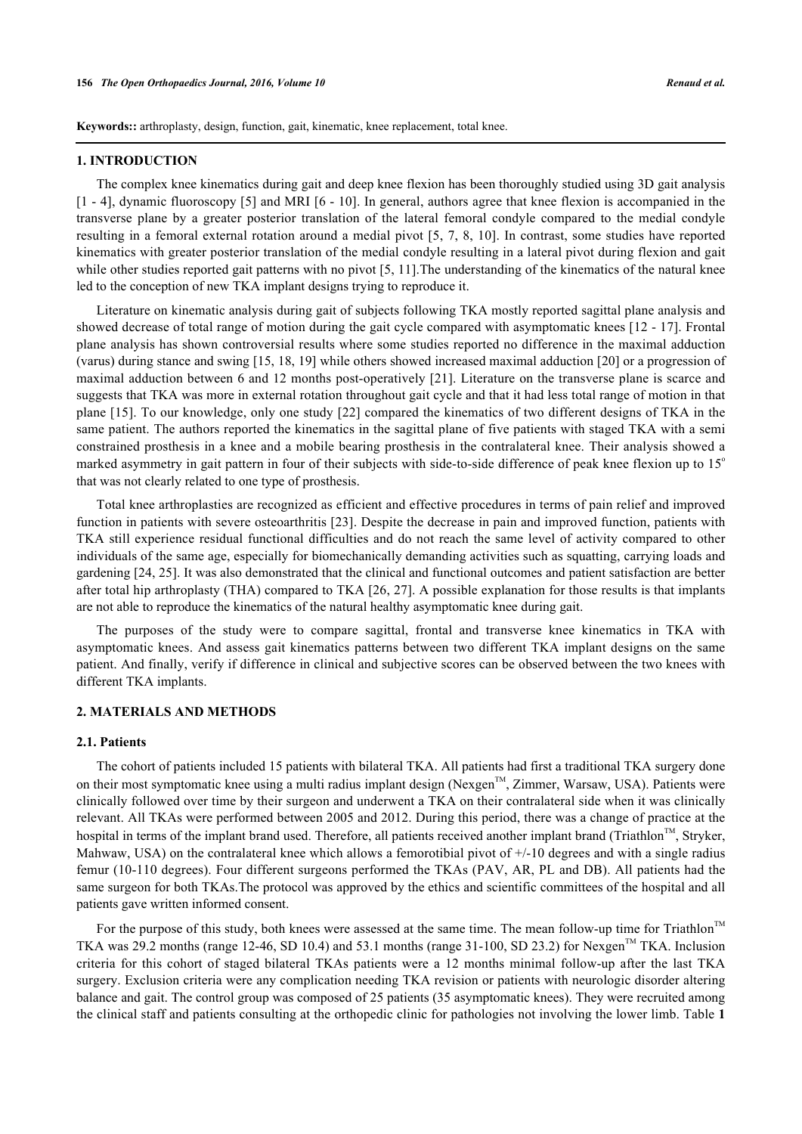**Keywords::** arthroplasty, design, function, gait, kinematic, knee replacement, total knee.

#### **1. INTRODUCTION**

The complex knee kinematics during gait and deep knee flexion has been thoroughly studied using 3D gait analysis [\[1](#page-8-0) - [4\]](#page-8-1), dynamic fluoroscopy [[5](#page-8-2)] and MRI [[6](#page-8-3) - [10\]](#page-9-0). In general, authors agree that knee flexion is accompanied in the transverse plane by a greater posterior translation of the lateral femoral condyle compared to the medial condyle resulting in a femoral external rotation around a medial pivot [\[5,](#page-8-2) [7,](#page-8-4) [8](#page-8-5)[, 10](#page-9-0)]. In contrast, some studies have reported kinematics with greater posterior translation of the medial condyle resulting in a lateral pivot during flexion and gait while other studies reported gait patterns with no pivot [\[5](#page-8-2), [11\]](#page-9-1). The understanding of the kinematics of the natural knee led to the conception of new TKA implant designs trying to reproduce it.

Literature on kinematic analysis during gait of subjects following TKA mostly reported sagittal plane analysis and showed decrease of total range of motion during the gait cycle compared with asymptomatic knees [[12](#page-9-2) - [17](#page-9-3)]. Frontal plane analysis has shown controversial results where some studies reported no difference in the maximal adduction (varus) during stance and swing [\[15](#page-9-4), [18](#page-9-5), [19\]](#page-9-6) while others showed increased maximal adduction [[20\]](#page-9-7) or a progression of maximal adduction between 6 and 12 months post-operatively [[21\]](#page-9-8). Literature on the transverse plane is scarce and suggests that TKA was more in external rotation throughout gait cycle and that it had less total range of motion in that plane [\[15\]](#page-9-4). To our knowledge, only one study [[22](#page-9-9)] compared the kinematics of two different designs of TKA in the same patient. The authors reported the kinematics in the sagittal plane of five patients with staged TKA with a semi constrained prosthesis in a knee and a mobile bearing prosthesis in the contralateral knee. Their analysis showed a marked asymmetry in gait pattern in four of their subjects with side-to-side difference of peak knee flexion up to 15<sup>o</sup> that was not clearly related to one type of prosthesis.

Total knee arthroplasties are recognized as efficient and effective procedures in terms of pain relief and improved function in patients with severe osteoarthritis [[23](#page-9-10)]. Despite the decrease in pain and improved function, patients with TKA still experience residual functional difficulties and do not reach the same level of activity compared to other individuals of the same age, especially for biomechanically demanding activities such as squatting, carrying loads and gardening [[24](#page-9-11)[, 25](#page-9-12)]. It was also demonstrated that the clinical and functional outcomes and patient satisfaction are better after total hip arthroplasty (THA) compared to TKA [[26](#page-9-13), [27\]](#page-9-14). A possible explanation for those results is that implants are not able to reproduce the kinematics of the natural healthy asymptomatic knee during gait.

The purposes of the study were to compare sagittal, frontal and transverse knee kinematics in TKA with asymptomatic knees. And assess gait kinematics patterns between two different TKA implant designs on the same patient. And finally, verify if difference in clinical and subjective scores can be observed between the two knees with different TKA implants.

#### **2. MATERIALS AND METHODS**

#### **2.1. Patients**

The cohort of patients included 15 patients with bilateral TKA. All patients had first a traditional TKA surgery done on their most symptomatic knee using a multi radius implant design (Nexgen<sup>TM</sup>, Zimmer, Warsaw, USA). Patients were clinically followed over time by their surgeon and underwent a TKA on their contralateral side when it was clinically relevant. All TKAs were performed between 2005 and 2012. During this period, there was a change of practice at the hospital in terms of the implant brand used. Therefore, all patients received another implant brand (Triathlon<sup>TM</sup>, Stryker, Mahwaw, USA) on the contralateral knee which allows a femorotibial pivot of  $+/-10$  degrees and with a single radius femur (10-110 degrees). Four different surgeons performed the TKAs (PAV, AR, PL and DB). All patients had the same surgeon for both TKAs.The protocol was approved by the ethics and scientific committees of the hospital and all patients gave written informed consent.

For the purpose of this study, both knees were assessed at the same time. The mean follow-up time for Triathlon™ TKA was 29.2 months (range 12-46, SD 10.4) and 53.1 months (range 31-100, SD 23.2) for Nexgen<sup>TM</sup> TKA. Inclusion criteria for this cohort of staged bilateral TKAs patients were a 12 months minimal follow-up after the last TKA surgery. Exclusion criteria were any complication needing TKA revision or patients with neurologic disorder altering balance and gait. The control group was composed of 25 patients (35 asymptomatic knees). They were recruited among the clinical staff and patients consulting at the orthopedic clinic for pathologies not involving the lower limb. Table **[1](#page-2-0)**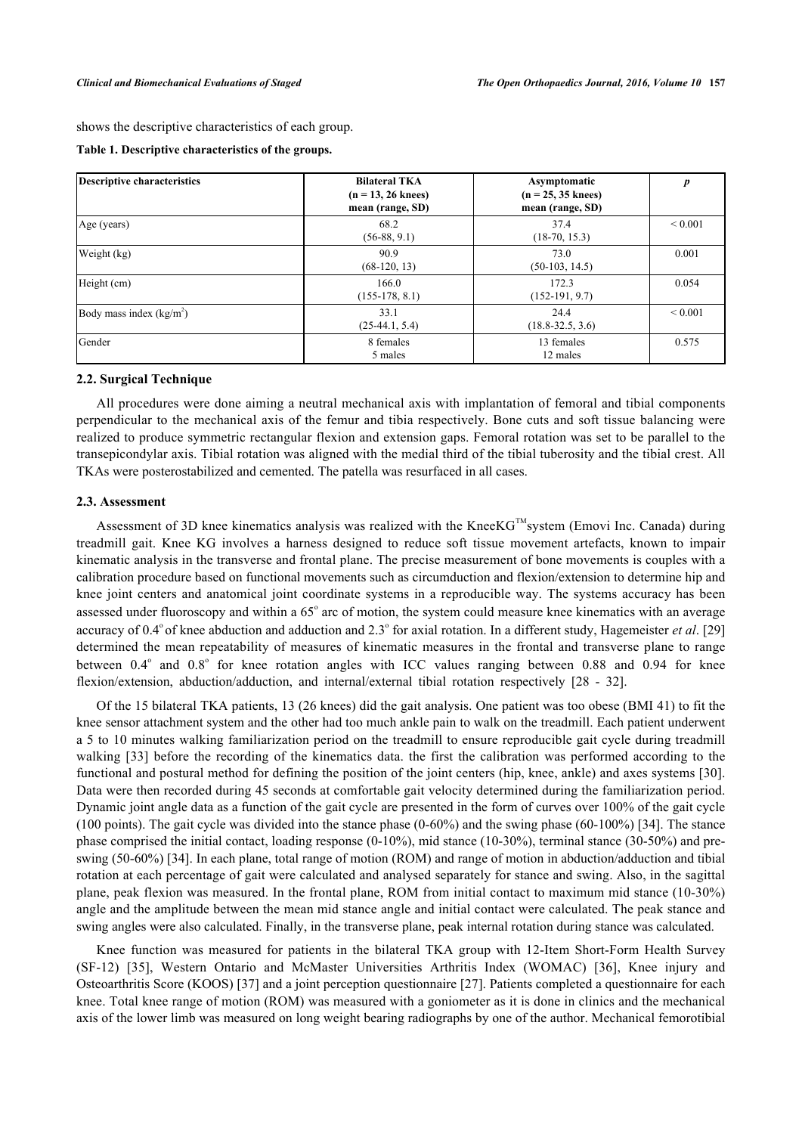shows the descriptive characteristics of each group.

<span id="page-2-0"></span>

|  |  | Table 1. Descriptive characteristics of the groups. |  |  |
|--|--|-----------------------------------------------------|--|--|
|--|--|-----------------------------------------------------|--|--|

| Descriptive characteristics | <b>Bilateral TKA</b><br>$(n = 13, 26$ knees)<br>mean (range, SD) | Asymptomatic<br>$(n = 25, 35$ knees)<br>mean (range, SD) | $\boldsymbol{p}$ |
|-----------------------------|------------------------------------------------------------------|----------------------------------------------------------|------------------|
| Age (years)                 | 68.2<br>$(56-88, 9.1)$                                           | 37.4<br>$(18-70, 15.3)$                                  | ${}_{0.001}$     |
| Weight (kg)                 | 90.9<br>$(68-120, 13)$                                           | 73.0<br>$(50-103, 14.5)$                                 | 0.001            |
| Height (cm)                 | 166.0<br>$(155-178, 8.1)$                                        | 172.3<br>$(152-191, 9.7)$                                | 0.054            |
| Body mass index $(kg/m2)$   | 33.1<br>$(25-44.1, 5.4)$                                         | 24.4<br>$(18.8 - 32.5, 3.6)$                             | ${}_{0.001}$     |
| Gender                      | 8 females<br>5 males                                             | 13 females<br>12 males                                   | 0.575            |

#### **2.2. Surgical Technique**

All procedures were done aiming a neutral mechanical axis with implantation of femoral and tibial components perpendicular to the mechanical axis of the femur and tibia respectively. Bone cuts and soft tissue balancing were realized to produce symmetric rectangular flexion and extension gaps. Femoral rotation was set to be parallel to the transepicondylar axis. Tibial rotation was aligned with the medial third of the tibial tuberosity and the tibial crest. All TKAs were posterostabilized and cemented. The patella was resurfaced in all cases.

#### **2.3. Assessment**

Assessment of 3D knee kinematics analysis was realized with the KneeK $G^{TM}$ system (Emovi Inc. Canada) during treadmill gait. Knee KG involves a harness designed to reduce soft tissue movement artefacts, known to impair kinematic analysis in the transverse and frontal plane. The precise measurement of bone movements is couples with a calibration procedure based on functional movements such as circumduction and flexion/extension to determine hip and knee joint centers and anatomical joint coordinate systems in a reproducible way. The systems accuracy has been assessed under fluoroscopy and within a 65° arc of motion, the system could measure knee kinematics with an average accuracy of 0.4° of knee abduction and adduction and 2.3° for axial rotation. In a different study, Hagemeister *et al.* [\[29](#page-9-15)] determined the mean repeatability of measures of kinematic measures in the frontal and transverse plane to range between 0.4° and 0.8° for knee rotation angles with ICC values ranging between 0.88 and 0.94 for knee flexion/extension, abduction/adduction, and internal/external tibial rotation respectively[[28](#page-9-16) - [32\]](#page-10-0).

Of the 15 bilateral TKA patients, 13 (26 knees) did the gait analysis. One patient was too obese (BMI 41) to fit the knee sensor attachment system and the other had too much ankle pain to walk on the treadmill. Each patient underwent a 5 to 10 minutes walking familiarization period on the treadmill to ensure reproducible gait cycle during treadmill walking [[33](#page-10-1)] before the recording of the kinematics data. the first the calibration was performed according to the functional and postural method for defining the position of the joint centers (hip, knee, ankle) and axes systems [\[30\]](#page-10-2). Data were then recorded during 45 seconds at comfortable gait velocity determined during the familiarization period. Dynamic joint angle data as a function of the gait cycle are presented in the form of curves over 100% of the gait cycle (100 points). The gait cycle was divided into the stance phase (0-60%) and the swing phase (60-100%) [[34\]](#page-10-3). The stance phase comprised the initial contact, loading response (0-10%), mid stance (10-30%), terminal stance (30-50%) and preswing (50-60%) [\[34](#page-10-3)]. In each plane, total range of motion (ROM) and range of motion in abduction/adduction and tibial rotation at each percentage of gait were calculated and analysed separately for stance and swing. Also, in the sagittal plane, peak flexion was measured. In the frontal plane, ROM from initial contact to maximum mid stance (10-30%) angle and the amplitude between the mean mid stance angle and initial contact were calculated. The peak stance and swing angles were also calculated. Finally, in the transverse plane, peak internal rotation during stance was calculated.

Knee function was measured for patients in the bilateral TKA group with 12-Item Short-Form Health Survey (SF-12)[[35\]](#page-10-4), Western Ontario and McMaster Universities Arthritis Index (WOMAC)[[36\]](#page-10-5), Knee injury and Osteoarthritis Score (KOOS) [\[37](#page-10-6)] and a joint perception questionnaire [\[27](#page-9-14)]. Patients completed a questionnaire for each knee. Total knee range of motion (ROM) was measured with a goniometer as it is done in clinics and the mechanical axis of the lower limb was measured on long weight bearing radiographs by one of the author. Mechanical femorotibial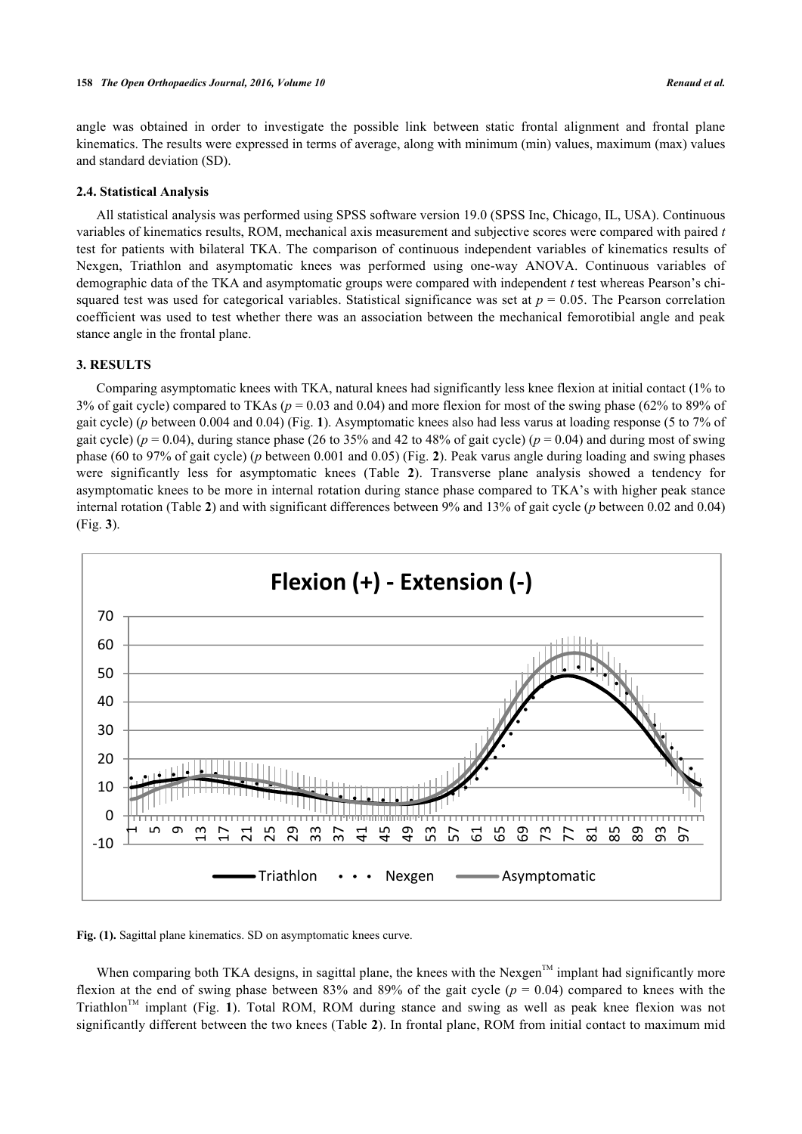angle was obtained in order to investigate the possible link between static frontal alignment and frontal plane kinematics. The results were expressed in terms of average, along with minimum (min) values, maximum (max) values and standard deviation (SD).

#### **2.4. Statistical Analysis**

All statistical analysis was performed using SPSS software version 19.0 (SPSS Inc, Chicago, IL, USA). Continuous variables of kinematics results, ROM, mechanical axis measurement and subjective scores were compared with paired *t* test for patients with bilateral TKA. The comparison of continuous independent variables of kinematics results of Nexgen, Triathlon and asymptomatic knees was performed using one-way ANOVA. Continuous variables of demographic data of the TKA and asymptomatic groups were compared with independent *t* test whereas Pearson's chisquared test was used for categorical variables. Statistical significance was set at  $p = 0.05$ . The Pearson correlation coefficient was used to test whether there was an association between the mechanical femorotibial angle and peak stance angle in the frontal plane.

# **3. RESULTS**

Comparing asymptomatic knees with TKA, natural knees had significantly less knee flexion at initial contact (1% to 3% of gait cycle) compared to TKAs ( $p = 0.03$  and 0.04) and more flexion for most of the swing phase (62% to 89% of gait cycle) (*p* between 0.004 and 0.04) (Fig. **[1](#page-3-0)**). Asymptomatic knees also had less varus at loading response (5 to 7% of gait cycle) ( $p = 0.04$ ), during stance phase (26 to 35% and 42 to 48% of gait cycle) ( $p = 0.04$ ) and during most of swing phase (60 to 97% of gait cycle) (*p* between 0.001 and 0.05) (Fig. **[2](#page-4-0)**). Peak varus angle during loading and swing phases were significantly less for asymptomatic knees (Table**2**). Transverse plane analysis showed a tendency for asymptomatic knees to be more in internal rotation during stance phase compared to TKA's with higher peak stance internal rotation (Table **[2](#page-4-1)**) and with significant differences between 9% and 13% of gait cycle (*p* between 0.02 and 0.04) (Fig. **[3](#page-5-0)**).

<span id="page-3-0"></span>

**Fig. (1).** Sagittal plane kinematics. SD on asymptomatic knees curve.

When comparing both TKA designs, in sagittal plane, the knees with the Nexgen<sup>TM</sup> implant had significantly more flexion at the end of swing phase between 83% and 89% of the gait cycle (*p* = 0.04) compared to knees with the Triathlon<sup>TM</sup>implant (Fig. 1). Total ROM, ROM during stance and swing as well as peak knee flexion was not significantly different between the two knees (Table **[2](#page-4-1)**). In frontal plane, ROM from initial contact to maximum mid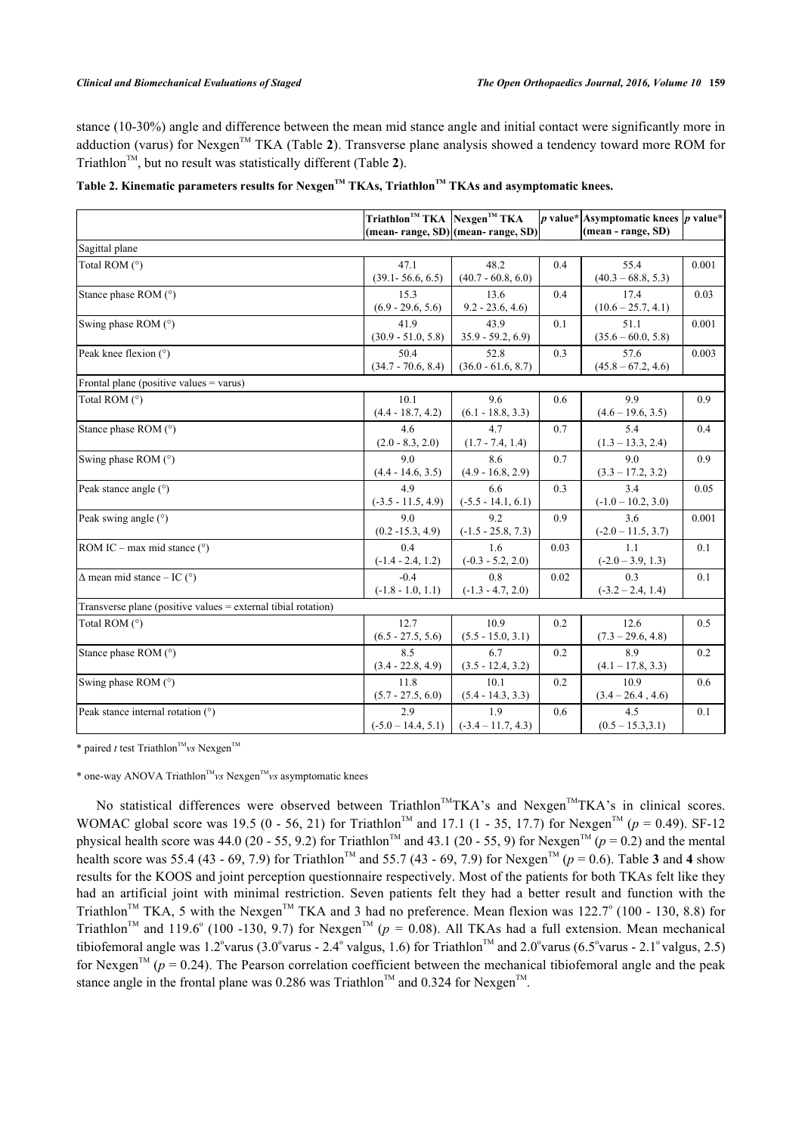stance (10-30%) angle and difference between the mean mid stance angle and initial contact were significantly more in adduction (varus) for Nexgen<sup>TM</sup> TKA (Table [2](#page-4-1)). Transverse plane analysis showed a tendency toward more ROM for Triathlon<sup> $TM$ </sup>, but no result was statistically different (Table [2](#page-4-1)).

<span id="page-4-1"></span>

| Table 2. Kinematic parameters results for Nexgen™ TKAs, Triathlon™ TKAs and asymptomatic knees. |  |  |  |  |
|-------------------------------------------------------------------------------------------------|--|--|--|--|
|                                                                                                 |  |  |  |  |

|                                                               | $Triathlon^{TM}$ TKA Nexgen <sup>TM</sup> TKA | (mean-range, SD) (mean-range, SD) |      | p value* Asymptomatic knees p value*<br>(mean - range, SD) |       |
|---------------------------------------------------------------|-----------------------------------------------|-----------------------------------|------|------------------------------------------------------------|-------|
| Sagittal plane                                                |                                               |                                   |      |                                                            |       |
| Total ROM (°)                                                 | 47.1<br>$(39.1 - 56.6, 6.5)$                  | 48.2<br>$(40.7 - 60.8, 6.0)$      | 0.4  | 55.4<br>$(40.3 - 68.8, 5.3)$                               | 0.001 |
| Stance phase ROM (°)                                          | 15.3<br>$(6.9 - 29.6, 5.6)$                   | 13.6<br>$9.2 - 23.6, 4.6$         | 0.4  | 17.4<br>$(10.6 - 25.7, 4.1)$                               | 0.03  |
| Swing phase ROM (°)                                           | 41.9<br>$(30.9 - 51.0, 5.8)$                  | 43.9<br>$35.9 - 59.2, 6.9$        | 0.1  | 51.1<br>$(35.6 - 60.0, 5.8)$                               | 0.001 |
| Peak knee flexion (°)                                         | 50.4<br>$(34.7 - 70.6, 8.4)$                  | 52.8<br>$(36.0 - 61.6, 8.7)$      | 0.3  | 57.6<br>$(45.8 - 67.2, 4.6)$                               | 0.003 |
| Frontal plane (positive values = varus)                       |                                               |                                   |      |                                                            |       |
| Total ROM (°)                                                 | 10.1<br>$(4.4 - 18.7, 4.2)$                   | 9.6<br>$(6.1 - 18.8, 3.3)$        | 0.6  | 9.9<br>$(4.6 - 19.6, 3.5)$                                 | 0.9   |
| Stance phase ROM (°)                                          | 4.6<br>$(2.0 - 8.3, 2.0)$                     | 4.7<br>$(1.7 - 7.4, 1.4)$         | 0.7  | 5.4<br>$(1.3 - 13.3, 2.4)$                                 | 0.4   |
| Swing phase ROM (°)                                           | 9.0<br>$(4.4 - 14.6, 3.5)$                    | 8.6<br>$(4.9 - 16.8, 2.9)$        | 0.7  | 9.0<br>$(3.3 - 17.2, 3.2)$                                 | 0.9   |
| Peak stance angle (°)                                         | 4.9<br>$(-3.5 - 11.5, 4.9)$                   | 6.6<br>$(-5.5 - 14.1, 6.1)$       | 0.3  | 3.4<br>$(-1.0 - 10.2, 3.0)$                                | 0.05  |
| Peak swing angle (°)                                          | 9.0<br>$(0.2 - 15.3, 4.9)$                    | 9.2<br>$(-1.5 - 25.8, 7.3)$       | 0.9  | 3.6<br>$(-2.0 - 11.5, 3.7)$                                | 0.001 |
| ROM IC – max mid stance $(°)$                                 | 0.4<br>$(-1.4 - 2.4, 1.2)$                    | 1.6<br>$(-0.3 - 5.2, 2.0)$        | 0.03 | 1.1<br>$(-2.0 - 3.9, 1.3)$                                 | 0.1   |
| $\Delta$ mean mid stance – IC (°)                             | $-0.4$<br>$(-1.8 - 1.0, 1.1)$                 | 0.8<br>$(-1.3 - 4.7, 2.0)$        | 0.02 | 0.3<br>$(-3.2 - 2.4, 1.4)$                                 | 0.1   |
| Transverse plane (positive values = external tibial rotation) |                                               |                                   |      |                                                            |       |
| Total ROM (°)                                                 | 12.7<br>$(6.5 - 27.5, 5.6)$                   | 10.9<br>$(5.5 - 15.0, 3.1)$       | 0.2  | 12.6<br>$(7.3 - 29.6, 4.8)$                                | 0.5   |
| Stance phase ROM (°)                                          | 8.5<br>$(3.4 - 22.8, 4.9)$                    | 6.7<br>$(3.5 - 12.4, 3.2)$        | 0.2  | 8.9<br>$(4.1 - 17.8, 3.3)$                                 | 0.2   |
| Swing phase ROM (°)                                           | 11.8<br>$(5.7 - 27.5, 6.0)$                   | 10.1<br>$(5.4 - 14.3, 3.3)$       | 0.2  | 10.9<br>$(3.4 - 26.4, 4.6)$                                | 0.6   |
| Peak stance internal rotation (°)                             | 2.9<br>$(-5.0 - 14.4, 5.1)$                   | 1.9<br>$(-3.4 - 11.7, 4.3)$       | 0.6  | 4.5<br>$(0.5 - 15.3, 3.1)$                                 | 0.1   |

\* paired *t* test Triathlon<sup>TM</sup><sub>VS</sub> Nexgen<sup>TM</sup>

\* one-way ANOVA Triathlon<sup>™</sup>vs Nexgen<sup>™</sup>vs asymptomatic knees

<span id="page-4-0"></span>No statistical differences were observed between Triathlon<sup>TM</sup>TKA's and Nexgen<sup>TM</sup>TKA's in clinical scores. WOMAC global score was 19.5 (0 - 56, 21) for Triathlon<sup>TM</sup> and 17.1 (1 - 35, 17.7) for Nexgen<sup>TM</sup> ( $p = 0.49$ ). SF-12 physical health score was 44.0 (20 - 55, 9.2) for Triathlon<sup>TM</sup> and 43.1 (20 - 55, 9) for Nexgen<sup>TM</sup> (*p* = 0.2) and the mental health score was 55.4 (4[3](#page-6-0) - 69, 7.9) for Triathlon<sup>TM</sup> and 55.7 ([4](#page-6-1)3 - 69, 7.9) for Nexgen<sup>TM</sup> ( $p = 0.6$ ). Table 3 and 4 show results for the KOOS and joint perception questionnaire respectively. Most of the patients for both TKAs felt like they had an artificial joint with minimal restriction. Seven patients felt they had a better result and function with the Triathlon<sup>TM</sup> TKA, 5 with the Nexgen<sup>TM</sup> TKA and 3 had no preference. Mean flexion was 122.7° (100 - 130, 8.8) for Triathlon<sup>TM</sup> and 119.6° (100 -130, 9.7) for Nexgen<sup>TM</sup> ( $p = 0.08$ ). All TKAs had a full extension. Mean mechanical tibiofemoral angle was 1.2° varus (3.0° varus - 2.4° valgus, 1.6) for Triathlon<sup>™</sup> and 2.0° varus (6.5° varus - 2.1° valgus, 2.5) for Nexgen<sup>TM</sup> ( $p = 0.24$ ). The Pearson correlation coefficient between the mechanical tibiofemoral angle and the peak stance angle in the frontal plane was 0.286 was Triathlon<sup>™</sup> and 0.324 for Nexgen<sup>™</sup>.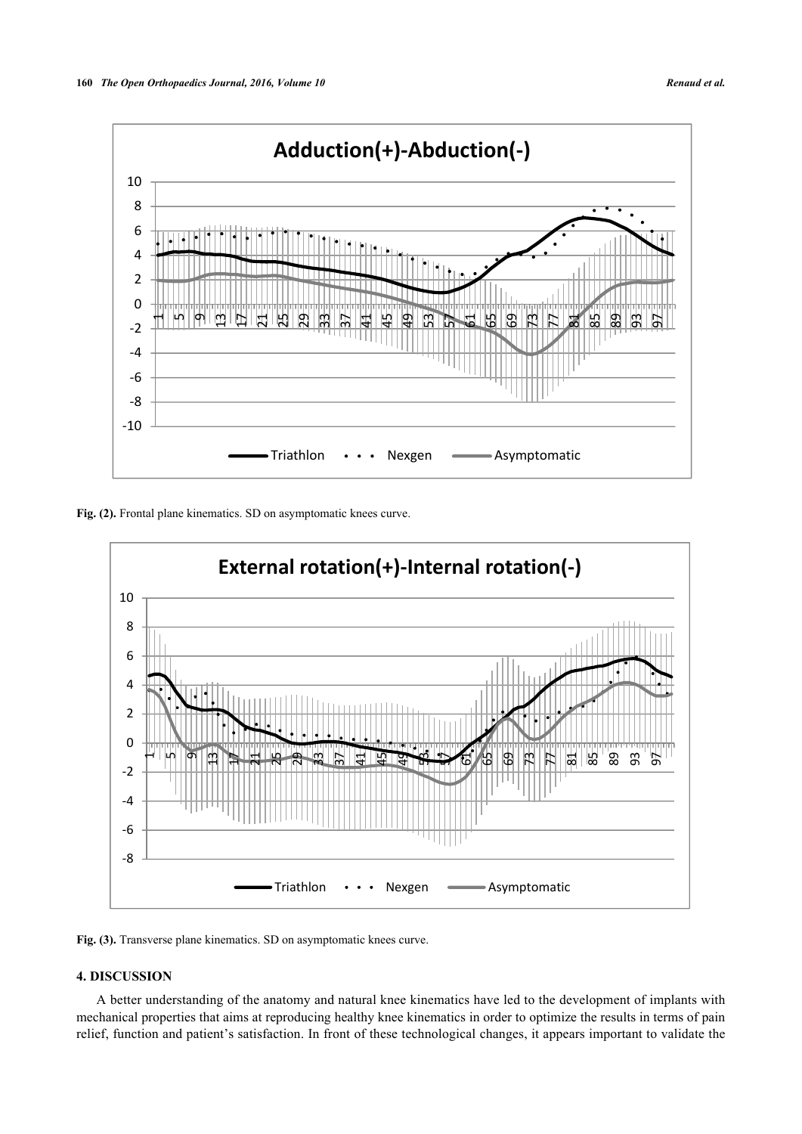

<span id="page-5-0"></span>Fig. (2). Frontal plane kinematics. SD on asymptomatic knees curve.



Fig. (3). Transverse plane kinematics. SD on asymptomatic knees curve.

# **4. DISCUSSION**

A better understanding of the anatomy and natural knee kinematics have led to the development of implants with mechanical properties that aims at reproducing healthy knee kinematics in order to optimize the results in terms of pain relief, function and patient's satisfaction. In front of these technological changes, it appears important to validate the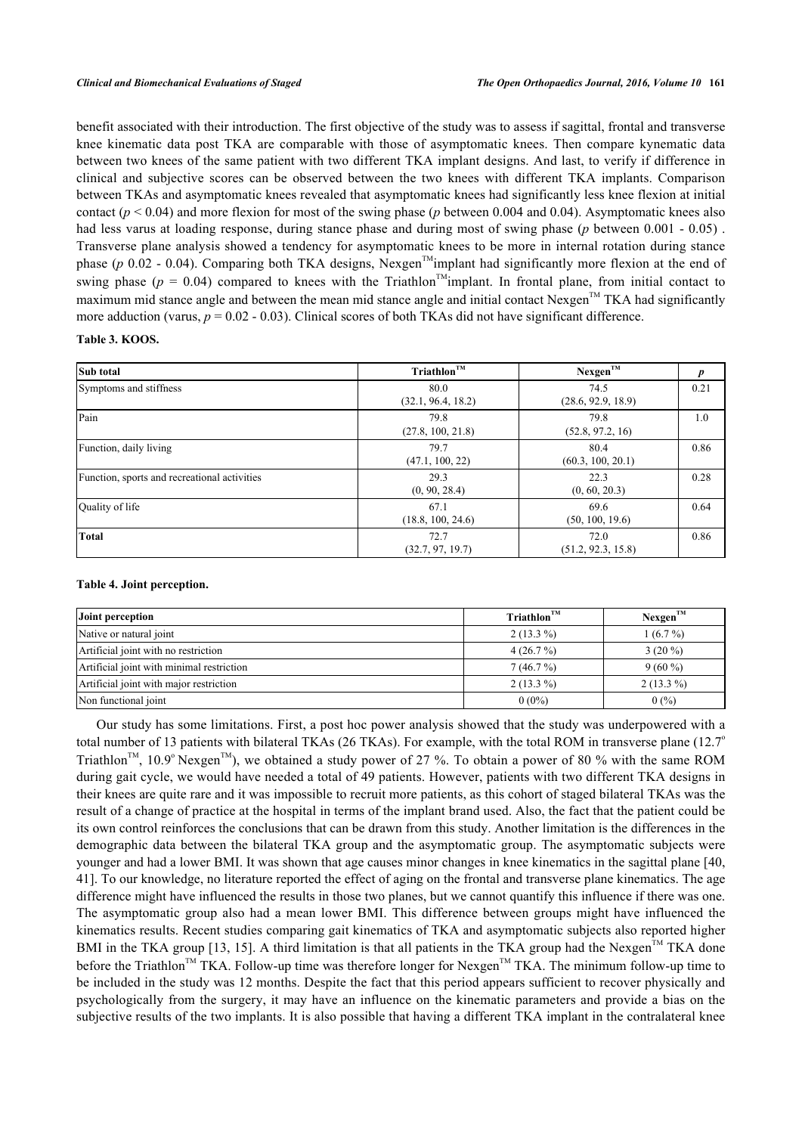benefit associated with their introduction. The first objective of the study was to assess if sagittal, frontal and transverse knee kinematic data post TKA are comparable with those of asymptomatic knees. Then compare kynematic data between two knees of the same patient with two different TKA implant designs. And last, to verify if difference in clinical and subjective scores can be observed between the two knees with different TKA implants. Comparison between TKAs and asymptomatic knees revealed that asymptomatic knees had significantly less knee flexion at initial contact ( $p < 0.04$ ) and more flexion for most of the swing phase ( $p$  between 0.004 and 0.04). Asymptomatic knees also had less varus at loading response, during stance phase and during most of swing phase (*p* between 0.001 - 0.05) . Transverse plane analysis showed a tendency for asymptomatic knees to be more in internal rotation during stance phase ( $p$  0.02 - 0.04). Comparing both TKA designs, Nexgen<sup>TM</sup>implant had significantly more flexion at the end of swing phase ( $p = 0.04$ ) compared to knees with the Triathlon<sup>TM</sup>implant. In frontal plane, from initial contact to maximum mid stance angle and between the mean mid stance angle and initial contact Nexgen<sup>™</sup> TKA had significantly more adduction (varus,  $p = 0.02 - 0.03$ ). Clinical scores of both TKAs did not have significant difference.

#### <span id="page-6-0"></span>**Table 3. KOOS.**

| Sub total                                    | $Triathlon^{\text{TM}}$    | $Nexgen^{\text{TM}}$       |      |
|----------------------------------------------|----------------------------|----------------------------|------|
| Symptoms and stiffness                       | 80.0<br>(32.1, 96.4, 18.2) | 74.5<br>(28.6, 92.9, 18.9) | 0.21 |
| Pain                                         | 79.8<br>(27.8, 100, 21.8)  | 79.8<br>(52.8, 97.2, 16)   | 1.0  |
| Function, daily living                       | 79.7<br>(47.1, 100, 22)    | 80.4<br>(60.3, 100, 20.1)  | 0.86 |
| Function, sports and recreational activities | 29.3<br>(0, 90, 28.4)      | 22.3<br>(0, 60, 20.3)      | 0.28 |
| Quality of life                              | 67.1<br>(18.8, 100, 24.6)  | 69.6<br>(50, 100, 19.6)    | 0.64 |
| <b>Total</b>                                 | 72.7<br>(32.7, 97, 19.7)   | 72.0<br>(51.2, 92.3, 15.8) | 0.86 |

#### <span id="page-6-1"></span>**Table 4. Joint perception.**

| Joint perception                          | Triathlon <sup>TM</sup> | $Nexgen^{TM}$ |
|-------------------------------------------|-------------------------|---------------|
| Native or natural joint                   | $2(13.3\%)$             | $1(6.7\%)$    |
| Artificial joint with no restriction      | $4(26.7\%)$             | $3(20\%)$     |
| Artificial joint with minimal restriction | $7(46.7\%)$             | $9(60\%)$     |
| Artificial joint with major restriction   | $2(13.3\%)$             | $2(13.3\%)$   |
| Non functional joint                      | $0(0\%)$                | 0(%)          |

Our study has some limitations. First, a post hoc power analysis showed that the study was underpowered with a total number of 13 patients with bilateral TKAs (26 TKAs). For example, with the total ROM in transverse plane (12.7° Triathlon<sup>TM</sup>, 10.9° Nexgen<sup>TM</sup>), we obtained a study power of 27 %. To obtain a power of 80 % with the same ROM during gait cycle, we would have needed a total of 49 patients. However, patients with two different TKA designs in their knees are quite rare and it was impossible to recruit more patients, as this cohort of staged bilateral TKAs was the result of a change of practice at the hospital in terms of the implant brand used. Also, the fact that the patient could be its own control reinforces the conclusions that can be drawn from this study. Another limitation is the differences in the demographic data between the bilateral TKA group and the asymptomatic group. The asymptomatic subjects were younger and had a lower BMI. It was shown that age causes minor changes in knee kinematics in the sagittal plane [[40](#page-10-7), [41\]](#page-10-8). To our knowledge, no literature reported the effect of aging on the frontal and transverse plane kinematics. The age difference might have influenced the results in those two planes, but we cannot quantify this influence if there was one. The asymptomatic group also had a mean lower BMI. This difference between groups might have influenced the kinematics results. Recent studies comparing gait kinematics of TKA and asymptomatic subjects also reported higher BMI in the TKA group [\[13,](#page-9-17) [15](#page-9-4)]. A third limitation is that all patients in the TKA group had the Nexgen<sup>TM</sup> TKA done before the Triathlon<sup>TM</sup> TKA. Follow-up time was therefore longer for Nexgen<sup>TM</sup> TKA. The minimum follow-up time to be included in the study was 12 months. Despite the fact that this period appears sufficient to recover physically and psychologically from the surgery, it may have an influence on the kinematic parameters and provide a bias on the subjective results of the two implants. It is also possible that having a different TKA implant in the contralateral knee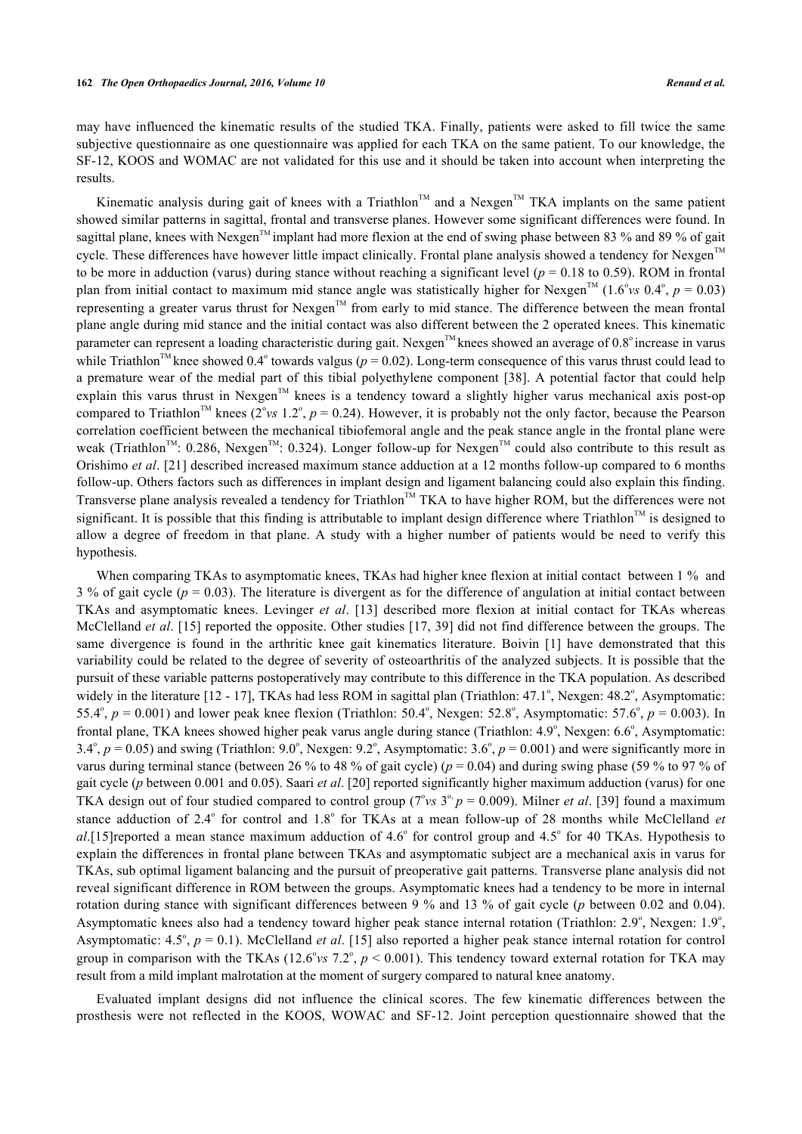may have influenced the kinematic results of the studied TKA. Finally, patients were asked to fill twice the same subjective questionnaire as one questionnaire was applied for each TKA on the same patient. To our knowledge, the SF-12, KOOS and WOMAC are not validated for this use and it should be taken into account when interpreting the results.

Kinematic analysis during gait of knees with a Triathlon<sup>TM</sup> and a Nexgen<sup>TM</sup> TKA implants on the same patient showed similar patterns in sagittal, frontal and transverse planes. However some significant differences were found. In sagittal plane, knees with Nexgen<sup>TM</sup> implant had more flexion at the end of swing phase between 83 % and 89 % of gait cycle. These differences have however little impact clinically. Frontal plane analysis showed a tendency for Nexgen<sup>™</sup> to be more in adduction (varus) during stance without reaching a significant level ( $p = 0.18$  to 0.59). ROM in frontal plan from initial contact to maximum mid stance angle was statistically higher for Nexgen<sup>TM</sup> (1.6° vs 0.4°,  $p = 0.03$ ) representing a greater varus thrust for Nexgen<sup>TM</sup> from early to mid stance. The difference between the mean frontal plane angle during mid stance and the initial contact was also different between the 2 operated knees. This kinematic parameter can represent a loading characteristic during gait. Nexgen<sup>TM</sup> knees showed an average of  $0.8^{\circ}$  increase in varus while Triathlon<sup>™</sup> knee showed 0.4° towards valgus ( $p = 0.02$ ). Long-term consequence of this varus thrust could lead to a premature wear of the medial part of this tibial polyethylene component [[38\]](#page-10-9). A potential factor that could help explain this varus thrust in Nexgen<sup>TM</sup> knees is a tendency toward a slightly higher varus mechanical axis post-op compared to Triathlon<sup>TM</sup> knees (2°vs 1.2°,  $p = 0.24$ ). However, it is probably not the only factor, because the Pearson correlation coefficient between the mechanical tibiofemoral angle and the peak stance angle in the frontal plane were weak (Triathlon<sup>TM</sup>: 0.286, Nexgen<sup>TM</sup>: 0.324). Longer follow-up for Nexgen<sup>TM</sup> could also contribute to this result as Orishimo *et al*. [[21](#page-9-8)] described increased maximum stance adduction at a 12 months follow-up compared to 6 months follow-up. Others factors such as differences in implant design and ligament balancing could also explain this finding. Transverse plane analysis revealed a tendency for Triathlon™ TKA to have higher ROM, but the differences were not significant. It is possible that this finding is attributable to implant design difference where Triathlon<sup>TM</sup> is designed to allow a degree of freedom in that plane. A study with a higher number of patients would be need to verify this hypothesis.

When comparing TKAs to asymptomatic knees, TKAs had higher knee flexion at initial contact between 1 % and 3 % of gait cycle (*p* = 0.03). The literature is divergent as for the difference of angulation at initial contact between TKAs and asymptomatic knees. Levinger *et al*.[[13](#page-9-17)] described more flexion at initial contact for TKAs whereas McClelland *et al*. [[15\]](#page-9-4) reported the opposite. Other studies [\[17](#page-9-3), [39](#page-10-10)] did not find difference between the groups. The same divergence is found in the arthritic knee gait kinematics literature. Boivin [\[1](#page-8-0)] have demonstrated that this variability could be related to the degree of severity of osteoarthritis of the analyzed subjects. It is possible that the pursuit of these variable patterns postoperatively may contribute to this difference in the TKA population. As described widely in the literature  $[12 - 17]$  $[12 - 17]$  $[12 - 17]$  $[12 - 17]$ , TKAs had less ROM in sagittal plan (Triathlon: 47.1°, Nexgen: 48.2°, Asymptomatic: 55.4°,  $p = 0.001$ ) and lower peak knee flexion (Triathlon: 50.4°, Nexgen: 52.8°, Asymptomatic: 57.6°,  $p = 0.003$ ). In frontal plane, TKA knees showed higher peak varus angle during stance (Triathlon: 4.9°, Nexgen: 6.6°, Asymptomatic: 3.4°,  $p = 0.05$ ) and swing (Triathlon: 9.0°, Nexgen: 9.2°, Asymptomatic: 3.6°,  $p = 0.001$ ) and were significantly more in varus during terminal stance (between 26 % to 48 % of gait cycle) (*p* = 0.04) and during swing phase (59 % to 97 % of gait cycle (*p* between 0.001 and 0.05). Saari *et al*. [[20\]](#page-9-7) reported significantly higher maximum adduction (varus) for one TKA design out of four studied compared to control group ( $7^{\circ}$ vs  $3^{\circ}$ ,  $p = 0.009$ ). Milner *et al.* [\[39](#page-10-10)] found a maximum stance adduction of 2.4° for control and 1.8° for TKAs at a mean follow-up of 28 months while McClelland *et* al.[[15\]](#page-9-4)reported a mean stance maximum adduction of 4.6° for control group and 4.5° for 40 TKAs. Hypothesis to explain the differences in frontal plane between TKAs and asymptomatic subject are a mechanical axis in varus for TKAs, sub optimal ligament balancing and the pursuit of preoperative gait patterns. Transverse plane analysis did not reveal significant difference in ROM between the groups. Asymptomatic knees had a tendency to be more in internal rotation during stance with significant differences between 9 % and 13 % of gait cycle (*p* between 0.02 and 0.04). Asymptomatic knees also had a tendency toward higher peak stance internal rotation (Triathlon: 2.9°, Nexgen: 1.9°, Asymptomatic:  $4.5^{\circ}$ ,  $p = 0.1$ ). McClelland *et al.* [[15\]](#page-9-4) also reported a higher peak stance internal rotation for control group in comparison with the TKAs  $(12.6^{\circ} \text{vs } 7.2^{\circ}, p \le 0.001)$ . This tendency toward external rotation for TKA may result from a mild implant malrotation at the moment of surgery compared to natural knee anatomy.

Evaluated implant designs did not influence the clinical scores. The few kinematic differences between the prosthesis were not reflected in the KOOS, WOWAC and SF-12. Joint perception questionnaire showed that the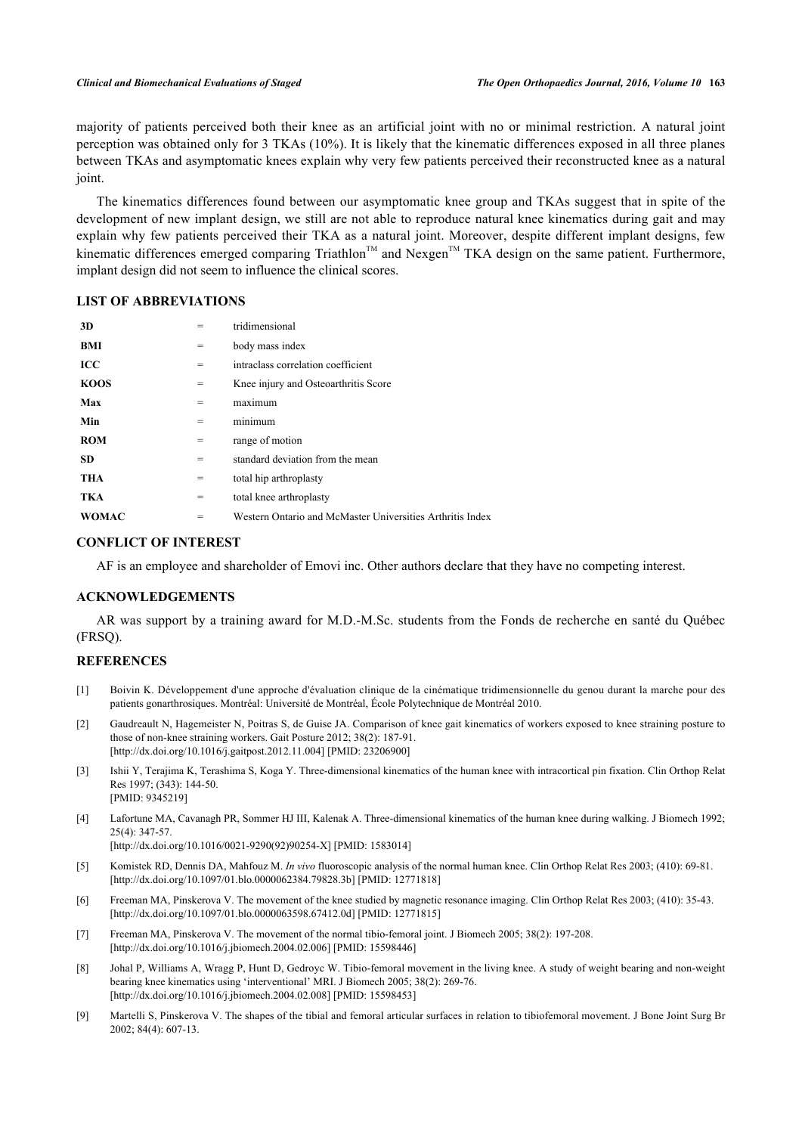majority of patients perceived both their knee as an artificial joint with no or minimal restriction. A natural joint perception was obtained only for 3 TKAs (10%). It is likely that the kinematic differences exposed in all three planes between TKAs and asymptomatic knees explain why very few patients perceived their reconstructed knee as a natural joint.

The kinematics differences found between our asymptomatic knee group and TKAs suggest that in spite of the development of new implant design, we still are not able to reproduce natural knee kinematics during gait and may explain why few patients perceived their TKA as a natural joint. Moreover, despite different implant designs, few kinematic differences emerged comparing Triathlon<sup>TM</sup> and Nexgen<sup>TM</sup> TKA design on the same patient. Furthermore, implant design did not seem to influence the clinical scores.

# **LIST OF ABBREVIATIONS**

| 3D           | =   | tridimensional                                            |
|--------------|-----|-----------------------------------------------------------|
| BMI          | $=$ | body mass index                                           |
| ICC          | $=$ | intraclass correlation coefficient                        |
| <b>KOOS</b>  | $=$ | Knee injury and Osteoarthritis Score                      |
| Max          | =   | maximum                                                   |
| Min          | =   | minimum                                                   |
| <b>ROM</b>   | $=$ | range of motion                                           |
| <b>SD</b>    | $=$ | standard deviation from the mean                          |
| <b>THA</b>   | $=$ | total hip arthroplasty                                    |
| <b>TKA</b>   | $=$ | total knee arthroplasty                                   |
| <b>WOMAC</b> | =   | Western Ontario and McMaster Universities Arthritis Index |

# **CONFLICT OF INTEREST**

AF is an employee and shareholder of Emovi inc. Other authors declare that they have no competing interest.

# **ACKNOWLEDGEMENTS**

AR was support by a training award for M.D.-M.Sc. students from the Fonds de recherche en santé du Québec (FRSQ).

# **REFERENCES**

- <span id="page-8-0"></span>[1] Boivin K. Développement d'une approche d'évaluation clinique de la cinématique tridimensionnelle du genou durant la marche pour des patients gonarthrosiques. Montréal: Université de Montréal, École Polytechnique de Montréal 2010.
- [2] Gaudreault N, Hagemeister N, Poitras S, de Guise JA. Comparison of knee gait kinematics of workers exposed to knee straining posture to those of non-knee straining workers. Gait Posture 2012; 38(2): 187-91. [\[http://dx.doi.org/10.1016/j.gaitpost.2012.11.004](http://dx.doi.org/10.1016/j.gaitpost.2012.11.004)] [PMID: [23206900\]](http://www.ncbi.nlm.nih.gov/pubmed/23206900)
- [3] Ishii Y, Terajima K, Terashima S, Koga Y. Three-dimensional kinematics of the human knee with intracortical pin fixation. Clin Orthop Relat Res 1997; (343): 144-50. [PMID: [9345219\]](http://www.ncbi.nlm.nih.gov/pubmed/9345219)
- <span id="page-8-1"></span>[4] Lafortune MA, Cavanagh PR, Sommer HJ III, Kalenak A. Three-dimensional kinematics of the human knee during walking. J Biomech 1992; 25(4): 347-57.

[\[http://dx.doi.org/10.1016/0021-9290\(92\)90254-X](http://dx.doi.org/10.1016/0021-9290(92)90254-X)] [PMID: [1583014\]](http://www.ncbi.nlm.nih.gov/pubmed/1583014)

- <span id="page-8-2"></span>[5] Komistek RD, Dennis DA, Mahfouz M. *In vivo* fluoroscopic analysis of the normal human knee. Clin Orthop Relat Res 2003; (410): 69-81. [\[http://dx.doi.org/10.1097/01.blo.0000062384.79828.3b](http://dx.doi.org/10.1097/01.blo.0000062384.79828.3b)] [PMID: [12771818\]](http://www.ncbi.nlm.nih.gov/pubmed/12771818)
- <span id="page-8-3"></span>[6] Freeman MA, Pinskerova V. The movement of the knee studied by magnetic resonance imaging. Clin Orthop Relat Res 2003; (410): 35-43. [\[http://dx.doi.org/10.1097/01.blo.0000063598.67412.0d](http://dx.doi.org/10.1097/01.blo.0000063598.67412.0d)] [PMID: [12771815\]](http://www.ncbi.nlm.nih.gov/pubmed/12771815)
- <span id="page-8-4"></span>[7] Freeman MA, Pinskerova V. The movement of the normal tibio-femoral joint. J Biomech 2005; 38(2): 197-208. [\[http://dx.doi.org/10.1016/j.jbiomech.2004.02.006\]](http://dx.doi.org/10.1016/j.jbiomech.2004.02.006) [PMID: [15598446](http://www.ncbi.nlm.nih.gov/pubmed/15598446)]
- <span id="page-8-5"></span>[8] Johal P, Williams A, Wragg P, Hunt D, Gedroyc W. Tibio-femoral movement in the living knee. A study of weight bearing and non-weight bearing knee kinematics using 'interventional' MRI. J Biomech 2005; 38(2): 269-76. [\[http://dx.doi.org/10.1016/j.jbiomech.2004.02.008\]](http://dx.doi.org/10.1016/j.jbiomech.2004.02.008) [PMID: [15598453](http://www.ncbi.nlm.nih.gov/pubmed/15598453)]
- [9] Martelli S, Pinskerova V. The shapes of the tibial and femoral articular surfaces in relation to tibiofemoral movement. J Bone Joint Surg Br 2002; 84(4): 607-13.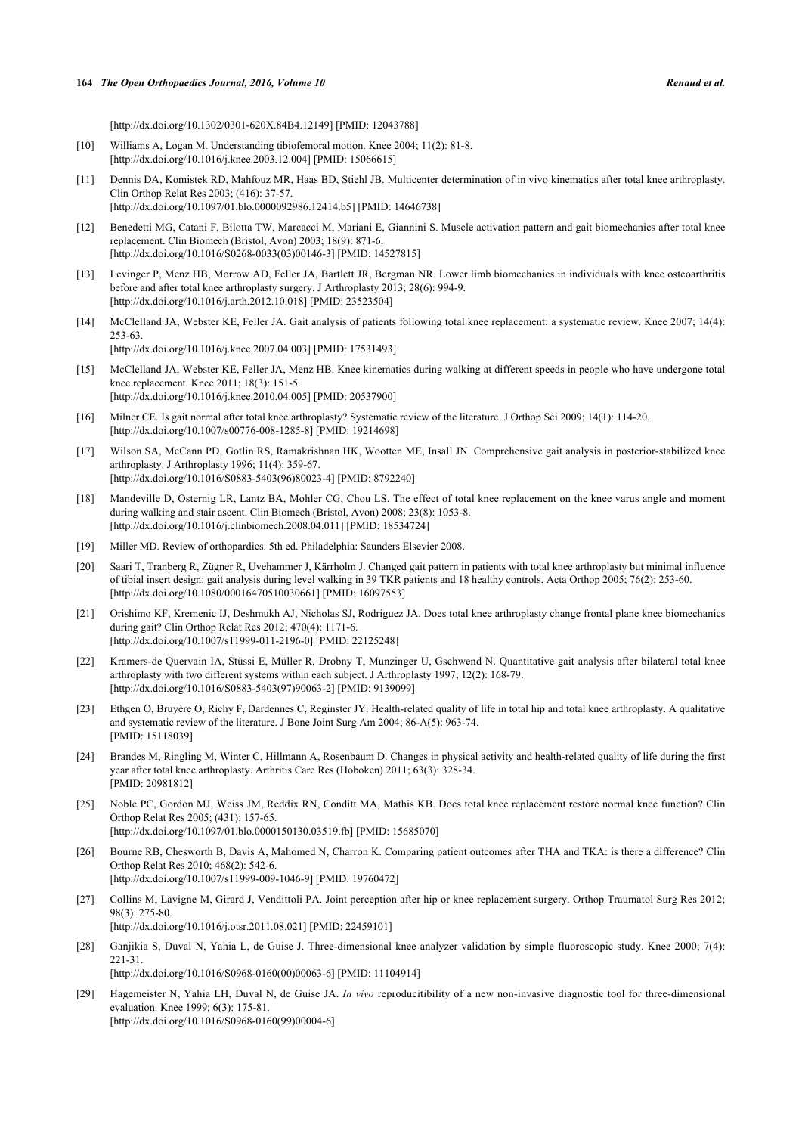[\[http://dx.doi.org/10.1302/0301-620X.84B4.12149\]](http://dx.doi.org/10.1302/0301-620X.84B4.12149) [PMID: [12043788](http://www.ncbi.nlm.nih.gov/pubmed/12043788)]

- <span id="page-9-0"></span>[10] Williams A, Logan M. Understanding tibiofemoral motion. Knee 2004; 11(2): 81-8. [\[http://dx.doi.org/10.1016/j.knee.2003.12.004](http://dx.doi.org/10.1016/j.knee.2003.12.004)] [PMID: [15066615\]](http://www.ncbi.nlm.nih.gov/pubmed/15066615)
- <span id="page-9-1"></span>[11] Dennis DA, Komistek RD, Mahfouz MR, Haas BD, Stiehl JB. Multicenter determination of in vivo kinematics after total knee arthroplasty. Clin Orthop Relat Res 2003; (416): 37-57. [\[http://dx.doi.org/10.1097/01.blo.0000092986.12414.b5](http://dx.doi.org/10.1097/01.blo.0000092986.12414.b5)] [PMID: [14646738\]](http://www.ncbi.nlm.nih.gov/pubmed/14646738)
- <span id="page-9-2"></span>[12] Benedetti MG, Catani F, Bilotta TW, Marcacci M, Mariani E, Giannini S. Muscle activation pattern and gait biomechanics after total knee replacement. Clin Biomech (Bristol, Avon) 2003; 18(9): 871-6. [\[http://dx.doi.org/10.1016/S0268-0033\(03\)00146-3\]](http://dx.doi.org/10.1016/S0268-0033(03)00146-3) [PMID: [14527815](http://www.ncbi.nlm.nih.gov/pubmed/14527815)]
- <span id="page-9-17"></span>[13] Levinger P, Menz HB, Morrow AD, Feller JA, Bartlett JR, Bergman NR. Lower limb biomechanics in individuals with knee osteoarthritis before and after total knee arthroplasty surgery. J Arthroplasty 2013; 28(6): 994-9. [\[http://dx.doi.org/10.1016/j.arth.2012.10.018](http://dx.doi.org/10.1016/j.arth.2012.10.018)] [PMID: [23523504](http://www.ncbi.nlm.nih.gov/pubmed/23523504)]
- [14] McClelland JA, Webster KE, Feller JA. Gait analysis of patients following total knee replacement: a systematic review. Knee 2007; 14(4): 253-63. [\[http://dx.doi.org/10.1016/j.knee.2007.04.003](http://dx.doi.org/10.1016/j.knee.2007.04.003)] [PMID: [17531493\]](http://www.ncbi.nlm.nih.gov/pubmed/17531493)
- <span id="page-9-4"></span>[15] McClelland JA, Webster KE, Feller JA, Menz HB. Knee kinematics during walking at different speeds in people who have undergone total knee replacement. Knee 2011; 18(3): 151-5. [\[http://dx.doi.org/10.1016/j.knee.2010.04.005](http://dx.doi.org/10.1016/j.knee.2010.04.005)] [PMID: [20537900\]](http://www.ncbi.nlm.nih.gov/pubmed/20537900)
- [16] Milner CE. Is gait normal after total knee arthroplasty? Systematic review of the literature. J Orthop Sci 2009; 14(1): 114-20. [\[http://dx.doi.org/10.1007/s00776-008-1285-8\]](http://dx.doi.org/10.1007/s00776-008-1285-8) [PMID: [19214698](http://www.ncbi.nlm.nih.gov/pubmed/19214698)]
- <span id="page-9-3"></span>[17] Wilson SA, McCann PD, Gotlin RS, Ramakrishnan HK, Wootten ME, Insall JN. Comprehensive gait analysis in posterior-stabilized knee arthroplasty. J Arthroplasty 1996; 11(4): 359-67. [\[http://dx.doi.org/10.1016/S0883-5403\(96\)80023-4\]](http://dx.doi.org/10.1016/S0883-5403(96)80023-4) [PMID: [8792240](http://www.ncbi.nlm.nih.gov/pubmed/8792240)]
- <span id="page-9-5"></span>[18] Mandeville D, Osternig LR, Lantz BA, Mohler CG, Chou LS. The effect of total knee replacement on the knee varus angle and moment during walking and stair ascent. Clin Biomech (Bristol, Avon) 2008; 23(8): 1053-8. [\[http://dx.doi.org/10.1016/j.clinbiomech.2008.04.011\]](http://dx.doi.org/10.1016/j.clinbiomech.2008.04.011) [PMID: [18534724](http://www.ncbi.nlm.nih.gov/pubmed/18534724)]
- <span id="page-9-6"></span>[19] Miller MD. Review of orthopardics. 5th ed. Philadelphia: Saunders Elsevier 2008.
- <span id="page-9-7"></span>[20] Saari T, Tranberg R, Zügner R, Uvehammer J, Kärrholm J. Changed gait pattern in patients with total knee arthroplasty but minimal influence of tibial insert design: gait analysis during level walking in 39 TKR patients and 18 healthy controls. Acta Orthop 2005; 76(2): 253-60. [\[http://dx.doi.org/10.1080/00016470510030661\]](http://dx.doi.org/10.1080/00016470510030661) [PMID: [16097553](http://www.ncbi.nlm.nih.gov/pubmed/16097553)]
- <span id="page-9-8"></span>[21] Orishimo KF, Kremenic IJ, Deshmukh AJ, Nicholas SJ, Rodriguez JA. Does total knee arthroplasty change frontal plane knee biomechanics during gait? Clin Orthop Relat Res 2012; 470(4): 1171-6. [\[http://dx.doi.org/10.1007/s11999-011-2196-0\]](http://dx.doi.org/10.1007/s11999-011-2196-0) [PMID: [22125248](http://www.ncbi.nlm.nih.gov/pubmed/22125248)]
- <span id="page-9-9"></span>[22] Kramers-de Quervain IA, Stüssi E, Müller R, Drobny T, Munzinger U, Gschwend N. Quantitative gait analysis after bilateral total knee arthroplasty with two different systems within each subject. J Arthroplasty 1997; 12(2): 168-79. [\[http://dx.doi.org/10.1016/S0883-5403\(97\)90063-2\]](http://dx.doi.org/10.1016/S0883-5403(97)90063-2) [PMID: [9139099](http://www.ncbi.nlm.nih.gov/pubmed/9139099)]
- <span id="page-9-10"></span>[23] Ethgen O, Bruyère O, Richy F, Dardennes C, Reginster JY. Health-related quality of life in total hip and total knee arthroplasty. A qualitative and systematic review of the literature. J Bone Joint Surg Am 2004; 86-A(5): 963-74. [PMID: [15118039\]](http://www.ncbi.nlm.nih.gov/pubmed/15118039)
- <span id="page-9-11"></span>[24] Brandes M, Ringling M, Winter C, Hillmann A, Rosenbaum D. Changes in physical activity and health-related quality of life during the first year after total knee arthroplasty. Arthritis Care Res (Hoboken) 2011; 63(3): 328-34. [PMID: [20981812\]](http://www.ncbi.nlm.nih.gov/pubmed/20981812)
- <span id="page-9-12"></span>[25] Noble PC, Gordon MJ, Weiss JM, Reddix RN, Conditt MA, Mathis KB. Does total knee replacement restore normal knee function? Clin Orthop Relat Res 2005; (431): 157-65. [\[http://dx.doi.org/10.1097/01.blo.0000150130.03519.fb\]](http://dx.doi.org/10.1097/01.blo.0000150130.03519.fb) [PMID: [15685070](http://www.ncbi.nlm.nih.gov/pubmed/15685070)]
- <span id="page-9-13"></span>[26] Bourne RB, Chesworth B, Davis A, Mahomed N, Charron K. Comparing patient outcomes after THA and TKA: is there a difference? Clin Orthop Relat Res 2010; 468(2): 542-6. [\[http://dx.doi.org/10.1007/s11999-009-1046-9\]](http://dx.doi.org/10.1007/s11999-009-1046-9) [PMID: [19760472](http://www.ncbi.nlm.nih.gov/pubmed/19760472)]
- <span id="page-9-14"></span>[27] Collins M, Lavigne M, Girard J, Vendittoli PA. Joint perception after hip or knee replacement surgery. Orthop Traumatol Surg Res 2012; 98(3): 275-80. [\[http://dx.doi.org/10.1016/j.otsr.2011.08.021](http://dx.doi.org/10.1016/j.otsr.2011.08.021)] [PMID: [22459101\]](http://www.ncbi.nlm.nih.gov/pubmed/22459101)

<span id="page-9-16"></span>[28] Ganjikia S, Duval N, Yahia L, de Guise J. Three-dimensional knee analyzer validation by simple fluoroscopic study. Knee 2000; 7(4): 221-31.

[\[http://dx.doi.org/10.1016/S0968-0160\(00\)00063-6\]](http://dx.doi.org/10.1016/S0968-0160(00)00063-6) [PMID: [11104914](http://www.ncbi.nlm.nih.gov/pubmed/11104914)]

<span id="page-9-15"></span>[29] Hagemeister N, Yahia LH, Duval N, de Guise JA. *In vivo* reproducitibility of a new non-invasive diagnostic tool for three-dimensional evaluation. Knee 1999; 6(3): 175-81. [\[http://dx.doi.org/10.1016/S0968-0160\(99\)00004-6\]](http://dx.doi.org/10.1016/S0968-0160(99)00004-6)